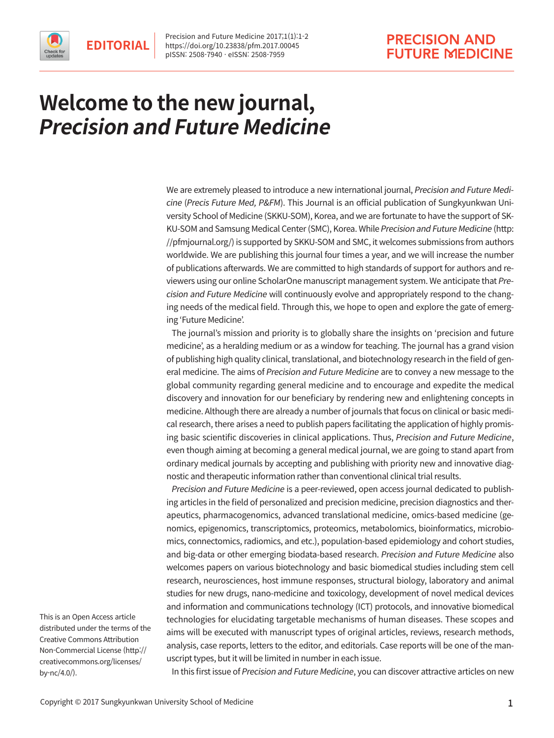



## **Welcome to the new journal, Precision and Future Medicine**

We are extremely pleased to introduce a new international journal, Precision and Future Medicine (Precis Future Med, P&FM). This Journal is an official publication of Sungkyunkwan University School of Medicine (SKKU-SOM), Korea, and we are fortunate to have the support of SK-KU-SOM and Samsung Medical Center (SMC), Korea. While Precision and Future Medicine ([http:](http://pfmjournal.org/)  [//pfmjournal.org/](http://pfmjournal.org/)) is supported by SKKU-SOM and SMC, it welcomes submissions from authors worldwide. We are publishing this journal four times a year, and we will increase the number of publications afterwards. We are committed to high standards of support for authors and reviewers using our online ScholarOne manuscript management system. We anticipate that Precision and Future Medicine will continuously evolve and appropriately respond to the changing needs of the medical field. Through this, we hope to open and explore the gate of emerging 'Future Medicine'.

The journal's mission and priority is to globally share the insights on 'precision and future medicine', as a heralding medium or as a window for teaching. The journal has a grand vision of publishing high quality clinical, translational, and biotechnology research in the field of general medicine. The aims of Precision and Future Medicine are to convey a new message to the global community regarding general medicine and to encourage and expedite the medical discovery and innovation for our beneficiary by rendering new and enlightening concepts in medicine. Although there are already a number of journals that focus on clinical or basic medical research, there arises a need to publish papers facilitating the application of highly promising basic scientific discoveries in clinical applications. Thus, Precision and Future Medicine, even though aiming at becoming a general medical journal, we are going to stand apart from ordinary medical journals by accepting and publishing with priority new and innovative diagnostic and therapeutic information rather than conventional clinical trial results.

Precision and Future Medicine is a peer-reviewed, open access journal dedicated to publishing articles in the field of personalized and precision medicine, precision diagnostics and therapeutics, pharmacogenomics, advanced translational medicine, omics-based medicine (genomics, epigenomics, transcriptomics, proteomics, metabolomics, bioinformatics, microbiomics, connectomics, radiomics, and etc.), population-based epidemiology and cohort studies, and big-data or other emerging biodata-based research. Precision and Future Medicine also welcomes papers on various biotechnology and basic biomedical studies including stem cell research, neurosciences, host immune responses, structural biology, laboratory and animal studies for new drugs, nano-medicine and toxicology, development of novel medical devices and information and communications technology (ICT) protocols, and innovative biomedical technologies for elucidating targetable mechanisms of human diseases. These scopes and aims will be executed with manuscript types of original articles, reviews, research methods, analysis, case reports, letters to the editor, and editorials. Case reports will be one of the manuscript types, but it will be limited in number in each issue.

This is an Open Access article distributed under the terms of the Creative Commons Attribution Non-Commercial License (http:// creativecommons.org/licenses/ by-nc/4.0/).

In this first issue of Precision and Future Medicine, you can discover attractive articles on new